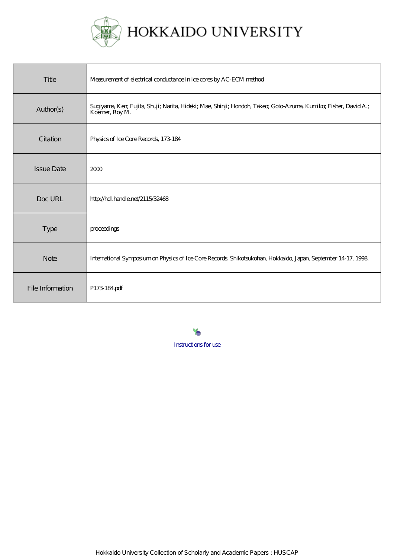

| Title             | Measurement of electrical conductance in ice cores by AC-ECM method                                                               |
|-------------------|-----------------------------------------------------------------------------------------------------------------------------------|
| Author(s)         | Sugiyama, Ker, Fujita, Shuji; Narita, Hideki; Mae, Shinji; Hondoh, Takeo; Goto Azuma, Kumiko; Fisher, David A.;<br>Koemer, Roy M. |
| Citation          | Physics of Ice Core Records, 173-184                                                                                              |
| <b>Issue Date</b> | 2000                                                                                                                              |
| Doc URL           | http://hdl.handle.net/2115/32468                                                                                                  |
| Type              | proceedings                                                                                                                       |
| <b>Note</b>       | International Symposium on Physics of Ice Core Records Shikotsukohan, Hokkaido, Japan, September 14 17, 1998.                     |
| File Information  | P173 184 pdf                                                                                                                      |

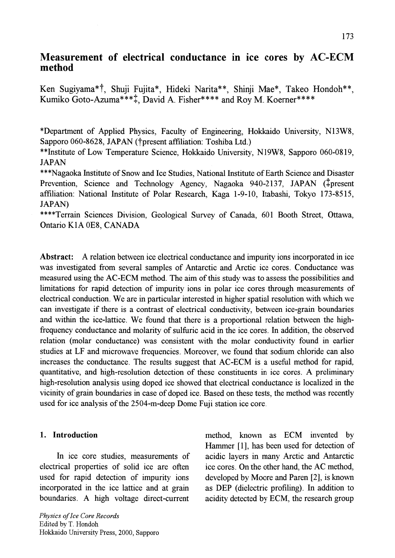# Measurement of electrical conductance in ice cores by AC-ECM method

Ken Sugiyama\*t, Shuji Fujita\*, Hideki Narita\*\*, Shinji Mae\*, Takeo Hondoh\*\*, Kumiko Goto-Azuma\*\*\*t, David A. Fisher\*\*\*\* and Roy M. Koerner\*\*\*\*

\*Department of Applied Physics, Faculty of Engineering, Hokkaido University, N13W8, Sapporo 060-8628, JAPAN (†present affiliation: Toshiba Ltd.)

\*\*Institute of Low Temperature Science, Hokkaido University, N19W8, Sapporo 060-0819, JAPAN

\*\*\*Nagaoka Institute of Snow and Ice Studies, National Institute of Earth Science and Disaster Prevention, Science and Technology Agency, Nagaoka 940-2137, JAPAN (#present affiliation: National Institute of Polar Research, Kaga 1-9-10, ltabashi, Tokyo 173-8515, JAPAN)

\*\*\*\*Terrain Sciences Division, Geological Survey of Canada, 601 Booth Street, Ottawa, Ontario KIA OE8, CANADA

Abstract: A relation between ice electrical conductance and impurity ions incorporated in ice was investigated from several samples of Antarctic and Arctic ice cores. Conductance was measured using the AC-ECM method. The aim of this study was to assess the possibilities and limitations for rapid detection of impurity ions in polar ice cores through measurements of electrical conduction. We are in particular interested in higher spatial resolution with which we can investigate if there is a contrast of electrical conductivity, between ice-grain boundaries and within the ice-lattice. We found that there is a proportional relation between the highfrequency conductance and molarity of sulfuric acid in the ice cores. In addition, the observed relation (molar conductance) was consistent with the molar conductivity found in earlier studies at LF and microwave frequencies. Moreover, we found that sodium chloride can also increases the conductance. The results suggest that AC-ECM is a useful method for rapid, quantitative, and high-resolution detection of these constituents in ice cores. A preliminary high-resolution analysis using doped ice showed that electrical conductance is localized in the vicinity of grain boundaries in case of doped ice. Based on these tests, the method was recently used for ice analysis of the 2504-m-deep Dome Fuji station ice core.

# 1. Introduction

In ice core studies, measurements of electrical properties of solid ice are often used for rapid detection of impurity ions incorporated in the ice lattice and at grain boundaries. A high voltage direct-current method, known as ECM invented by Hammer [1], has been used for detection of acidic layers in many Arctic and Antarctic ice cores. On the other hand, the AC method, developed by Moore and Paren [2], is known as DEP (dielectric profiling). In addition to acidity detected by ECM, the research group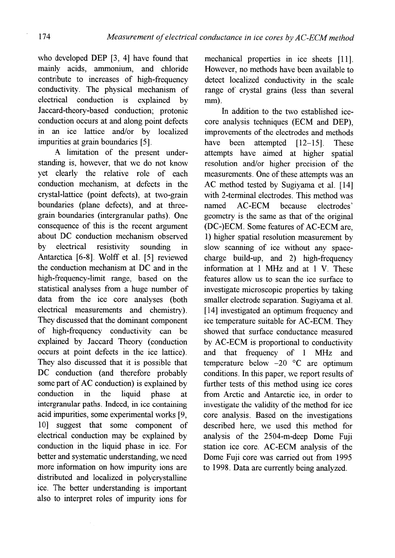who developed DEP [3, 4] have found that mainly acids, ammonium, and chloride contribute to increases of high-frequency conductivity. The physical mechanism of electrical conduction is explained by Jaccard-theory-based conduction; protonic conduction occurs at and along point defects in an ice lattice and/or by localized impurities at grain boundaries [5].

A limitation of the present understanding is, however, that we do not know yet clearly the relative role of each conduction mechanism, at defects in the crystal-lattice (point defects), at two-grain boundaries (plane defects), and at threegrain boundaries (intergranular paths). One consequence of this is the recent argument about DC conduction mechanism observed by electrical resistivity sounding in Antarctica [6-8]. Wolff et al. [5] reviewed the conduction mechanism at DC and in the high-frequency-limit range, based on the statistical analyses from a huge number of data from the ice core analyses (both electrical measurements and chemistry). They discussed that the dominant component of high-frequency conductivity can be explained by Jaccard Theory (conduction occurs at point defects in the ice lattice). They also discussed that it is possible that DC conduction (and therefore probably some part of AC conduction) is explained by conduction in the liquid phase at intergranular paths. Indeed, in ice containing acid impurities, some experimental works [9, 10] suggest that some component of electrical conduction may be explained by conduction in the liquid phase in ice. For better and systematic understanding, we need more information on how impurity ions are distributed and localized in polycrystalline ice. The better understanding is important also to interpret roles of impurity ions for

mechanical properties in ice sheets [11]. However, no methods have been available to detect localized conductivity in the scale range of crystal grains (less than several mm).

In addition to the two established icecore analysis techniques (ECM and DEP), improvements of the electrodes and methods have been attempted [12-15]. These attempts have aimed at higher spatial resolution and/or higher precision of the measurements. One of these attempts was an AC method tested by Sugiyama et al. [14] with 2-terminal electrodes. This method was named AC-ECM because electrodes' geometry is the same as that of the original (DC-)ECM. Some features of AC-ECM are, 1) higher spatial resolution measurement by slow scanning of ice without any spacecharge build-up, and 2) high-frequency information at 1 MHz and at 1 V. These features allow us to scan the ice surface to investigate microscopic properties by taking smaller electrode separation. Sugiyama et al. [14] investigated an optimum frequency and ice temperature suitable for AC-ECM. They showed that surface conductance measured by AC-ECM is proportional to conductivity and that frequency of 1 MHz and temperature below  $-20$  °C are optimum conditions. In this paper, we report results of further tests of this method using ice cores from Arctic and Antarctic ice, in order to investigate the validity of the method for ice core analysis. Based on the investigations described here, we used this method for analysis of the 2504-m-deep Dome Fuji station ice core. AC-ECM analysis of the Dome Fuji core was carried out from 1995 to 1998. Data are currently being analyzed.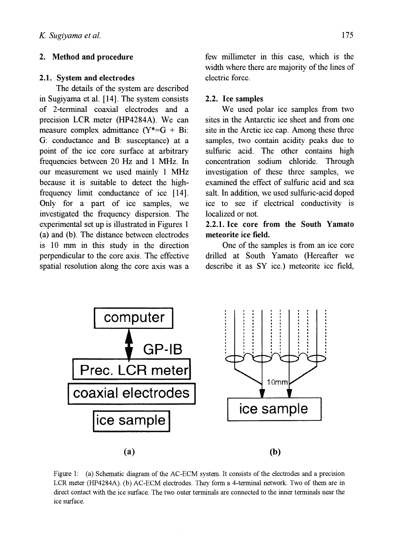### 2. Method and procedure

#### 2.1. System and electrodes

The details of the system are described in Sugiyama et al. [14]. The system consists of 2-terminal coaxial electrodes and a precision LCR meter (HP4284A). We can measure complex admittance  $(Y^*=G + Bi)$ : G: conductance and B: susceptance) at a point of the ice core surface at arbitrary frequencies between 20 Hz and I MHz. In our measurement we used mainly 1 MHz because it is suitable to detect the highfrequency limit conductance of ice [14]. Only for a part of ice samples, we investigated the frequency dispersion. The experimental set up is illustrated in Figures 1 (a) and (b). The distance between electrodes is 10 mm in this study in the direction perpendicular to the core axis. The effective spatial resolution along the core axis was a few millimeter in this case, which is the width where there are majority of the lines of electric force.

#### 2.2. Ice samples

We used polar ice samples from two sites in the Antarctic ice sheet and from one site in the Arctic ice cap. Among these three samples, two contain acidity peaks due to sulfuric acid. The other contains high concentration sodium chloride. Through investigation of these three samples, we examined the effect of sulfuric acid and sea salt. In addition, we used sulfuric-acid doped ice to see if electrical conductivity is localized or not.

# 2.2.1. Ice core from the South Yamato meteorite ice field.

One of the samples is from an ice core drilled at South Yamato (Hereafter we describe it as SY ice.) meteorite ice field,



Figure 1: (a) Schematic diagram of the AC-ECM system. It consists of the electrodes and a precision LCR meter (HP4284A). (b) AC-ECM electrodes. They form a 4-terminal network. Two of them are in direct contact with the ice surface. The two outer terminals are connected to the inner terminals near the ice surface.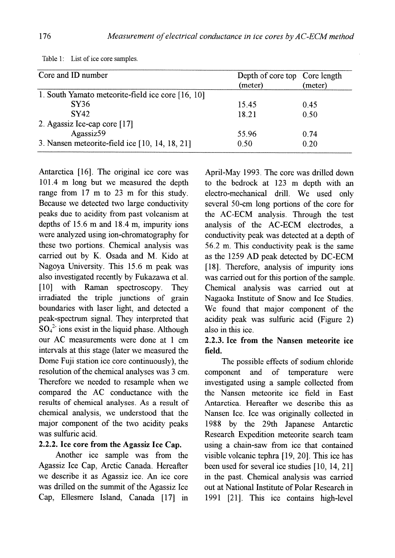| Core and ID number                                | Depth of core top Core length<br>(meter) | (meter) |
|---------------------------------------------------|------------------------------------------|---------|
| 1. South Yamato meteorite-field ice core [16, 10] |                                          |         |
| SY36                                              | 15.45                                    | 0.45    |
| <b>SY42</b>                                       | 18.21                                    | 0.50    |
| 2. Agassiz Ice-cap core [17]                      |                                          |         |
| Agassiz59                                         | 55.96                                    | 074     |
| 3. Nansen meteorite-field ice $[10, 14, 18, 21]$  | 0.50                                     | 020     |

Table 1: List of ice core samples.

Antarctica [16]. The original ice core was 101.4 m long but we measured the depth range from 17 m to 23 m for this study. Because we detected two large conductivity peaks due to acidity from past volcanism at depths of 15.6 m and 18.4 m, impurity ions were analyzed using ion-chromatography for these two portions. Chemical analysis was carried out by K. Osada and M. Kido at Nagoya University. This 15.6 m peak was also investigated recently by Fukazawa et al. [10] with Raman spectroscopy. They irradiated the triple junctions of grain boundaries with laser light, and detected a peak-spectrum signal. They interpreted that  $SO_4^2$  ions exist in the liquid phase. Although our AC measurements were done at 1 cm intervals at this stage (later we measured the Dome Fuji station ice core continuously), the resolution of the chemical analyses was 3 cm. Therefore we needed to resample when we compared the AC conductance with the results of chemical analyses. As a result of chemical analysis, we understood that the major component of the two acidity peaks was sulfuric acid.

# 2.2.2. Ice core from the Agassiz Ice Cap.

Another ice sample was from the Agassiz Ice Cap, Arctic Canada. Hereafter we describe it as Agassiz ice. An ice core was drilled on the summit of the Agassiz Ice Cap, Ellesmere Island, Canada [17] in

April-May 1993. The core was drilled down to the bedrock at 123 m depth with an electro-mechanical drill. We used only several 50-cm long portions of the core for the AC-ECM analysis. Through the test analysis of the AC-ECM electrodes, a conductivity peak was detected at a depth of 56.2 m. This conductivity peak is the same as the 1259 AD peak detected by DC-ECM [18]. Therefore, analysis of impurity ions was carried out for this portion of the sample. Chemical analysis was carried out at Nagaoka Institute of Snow and Ice Studies. We found that major component of the acidity peak was sulfuric acid (Figure 2) also in this ice.

## 2.2.3. Ice from the Nansen meteorite ice field.

The possible effects of sodium chloride component and of temperature were investigated using a sample collected from the Nansen meteorite ice field in East Antarctica. Hereafter we describe this as Nansen Ice. Ice was originally collected in 1988 by the 29th Japanese Antarctic Research Expedition meteorite search team using a chain-saw from ice that contained visible volcanic tephra [19, 20]. This ice has been used for several ice studies [10, 14,21] in the past. Chemical analysis was carried out at National Institute of Polar Research in 1991 [21]. This ice contains high-level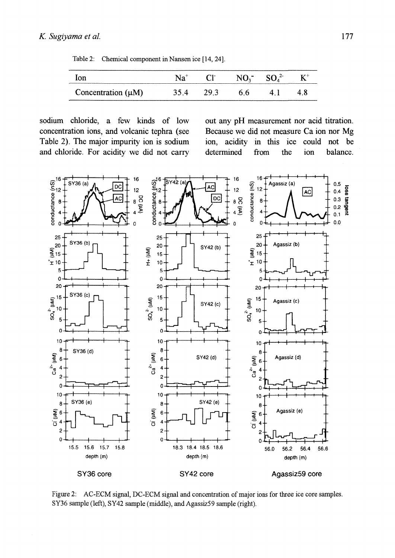Table 2: Chemical component in Nansen ice [14, 24].

|                 |  | and the state for the contract and company are a second to | - |
|-----------------|--|------------------------------------------------------------|---|
| Concentration ( |  | - 30                                                       |   |

sodium chloride, a few kinds of low concentration ions, and volcanic tephra (see Table 2). The major impurity ion is sodium and chloride. For acidity we did not carry out any pH measurement nor acid titration. Because we did not measure Ca ion nor Mg ion, acidity in this ice could not be determined from the ion balance.



Figure 2: AC-ECM signal, DC-ECM signal and concentration of major ions for three ice core samples. SY36 sample (left), SY42 sample (middle), and Agassiz59 sample (right).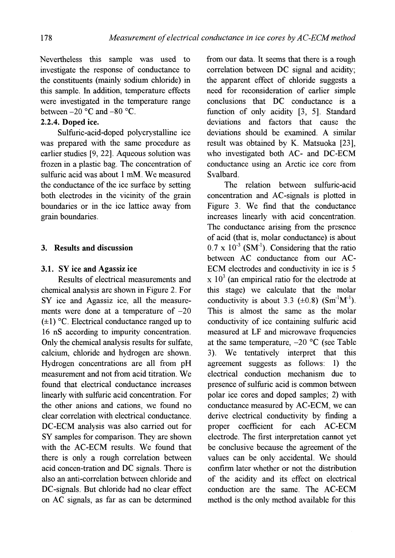Nevertheless this sample was used to investigate the response of conductance to the constituents (mainly sodium chloride) in this sample. In addition, temperature effects were investigated in the temperature range between  $-20$  °C and  $-80$  °C.

## 2.2.4. Doped ice.

Sulfuric-acid-doped polycrystalline ice was prepared with the same procedure as earlier studies [9, 22]. Aqueous solution was frozen in a plastic bag. The concentration of sulfuric acid was about 1 mM. We measured the conductance of the ice surface by setting both electrodes in the vicinity of the grain boundaries or in the ice lattice away from grain boundaries.

### 3. Results and discussion

### 3.1. SY ice and Agassiz ice

Results of electrical measurements and chemical analysis are shown in Figure 2. For SY ice and Agassiz ice, all the measurements were done at a temperature of  $-20$  $(\pm 1)$  °C. Electrical conductance ranged up to 16 nS according to impurity concentration. Only the chemical analysis results for sulfate, calcium, chloride and hydrogen are shown. Hydrogen concentrations are all from pH measurement and not from acid titration. We found that electrical conductance increases linearly with sulfuric acid concentration. For the other anions and cations, we found no clear correlation with electrical conductance. DC-ECM analysis was also carried out for SY samples for comparison. They are shown with the AC-ECM results. We found that there is only a rough correlation between acid concen-tration and DC signals. There is also an anti-correlation between chloride and DC-signals. But chloride had no clear effect on AC signals, as far as can be determined

from our data. It seems that there is a rough correlation between DC signal and acidity; the apparent effect of chloride suggests a need for reconsideration of earlier simple conclusions that DC conductance is a function of only acidity [3, 5]. Standard deviations and factors that cause the deviations should be examined. A similar result was obtained by K. Matsuoka [23], who investigated both AC- and DC-ECM conductance using an Arctic ice core from Svalbard.

The relation between sulfuric-acid concentration and AC-signals is plotted in Figure 3. We find that the conductance increases linearly with acid concentration. The conductance arising from the presence of acid (that is, molar conductance) is about  $0.7 \times 10^{-3}$  (SM<sup>-1</sup>). Considering that the ratio between AC conductance from our AC-ECM electrodes and conductivity in ice is 5  $x 10<sup>3</sup>$  (an empirical ratio for the electrode at this stage) we calculate that the molar conductivity is about  $3.3 \text{ } (\pm 0.8) \text{ } (\text{Sm}^{-1}\text{M}^{-1})$ . This is almost the same as the molar conductivity of ice containing sulfuric acid measured at LF and microwave frequencies at the same temperature,  $-20$  °C (see Table 3). We tentatively interpret that this agreement suggests as follows: 1) the electrical conduction mechanism due to presence of sulfuric acid is common between polar ice cores and doped samples; 2) with conductance measured by AC-ECM, we can derive electrical conductivity by finding a proper coefficient for each AC-ECM electrode. The first interpretation cannot yet be conclusive because the agreement of the values can be only accidental. We should confirm later whether or not the distribution of the acidity and its effect on electrical conduction are the same. The AC-ECM method is the only method available for this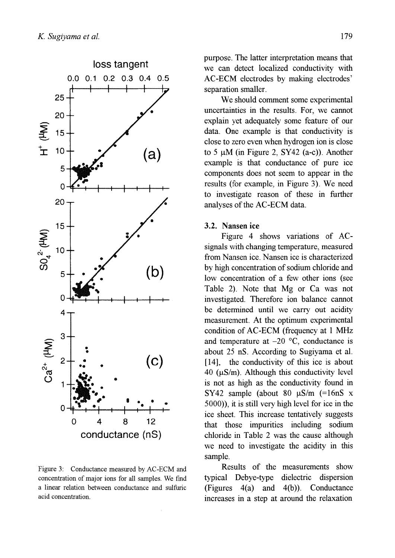

Figure 3: Conductance measured by AC-ECM and concentration of major ions for all samples. We fmd a linear relation between conductance and sulfuric acid concentration.

purpose. The latter interpretation means that we can detect localized conductivity with AC-ECM electrodes by making electrodes' separation smaller.

We should comment some experimental uncertainties in the results. For, we cannot explain yet adequately some feature of our data. One example is that conductivity is close to zero even when hydrogen ion is close to 5  $\mu$ M (in Figure 2, SY42 (a-c)). Another example is that conductance of pure ice components does not seem to appear in the results (for example, in Figure 3). We need to investigate reason of these in further analyses of the AC-ECM data.

### 3.2. Nansen ice

Figure 4 shows variations of ACsignals with changing temperature, measured from Nansen ice. Nansen ice is characterized by high concentration of sodium chloride and low concentration of a few other ions (see Table 2). Note that Mg or Ca was not investigated. Therefore ion balance cannot be determined until we carry out acidity measurement. At the optimum experimental condition of AC-ECM (frequency at 1 MHz and temperature at  $-20$  °C, conductance is about 25 nS. According to Sugiyama et al. [14], the conductivity of this ice is about 40 ( $\mu$ S/m). Although this conductivity level is not as high as the conductivity found in SY42 sample (about 80  $\mu$ S/m (=16nS x 5000», it is still very high level for ice in the ice sheet. This increase tentatively suggests that those impurities including sodium chloride in Table 2 was the cause although we need to investigate the acidity in this sample.

Results of the measurements show typical Debye-type dielectric dispersion (Figures  $4(a)$  and  $4(b)$ ). Conductance increases in a step at around the relaxation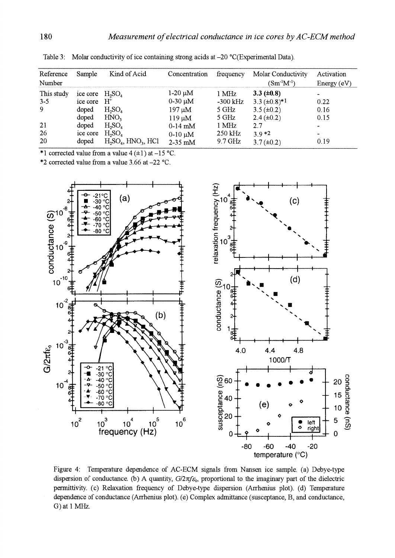| Reference<br>Number                          | Sample                                                                         | Kind of Acid                                                                                                                                  | Concentration                                                                                        | frequency                                                              | Molar Conductivity<br>$(Sm^{-1}M^{-1})$                                                                                | Activation<br>Energy $(eV)$                                                |
|----------------------------------------------|--------------------------------------------------------------------------------|-----------------------------------------------------------------------------------------------------------------------------------------------|------------------------------------------------------------------------------------------------------|------------------------------------------------------------------------|------------------------------------------------------------------------------------------------------------------------|----------------------------------------------------------------------------|
| This study<br>$3-5$<br>-9<br>21<br>-26<br>20 | ice core $H_2SO_4$<br>ice core<br>doped<br>doped<br>doped<br>ice core<br>doped | $\rm H^*$<br>H <sub>2</sub> SO <sub>4</sub><br>HNO <sub>3</sub><br>$H_2SO_4$<br>H <sub>2</sub> SO <sub>4</sub><br>$H_2SO_4$ , $HNO_3$ , $HCl$ | $1-20 \mu M$<br>$0-30 \mu M$<br>$197 \mu M$<br>$119 \mu M$<br>$0-14$ mM<br>$0-10 \mu M$<br>$2-35$ mM | 1 MHz<br>$-300$ kHz<br>5 GHz<br>5 GHz<br>1 MHz<br>250 kHz<br>$9.7$ GHz | $3.3 \ (\pm 0.8)$<br>$3.3 \ (\pm 0.8)^{*1}$<br>$3.5 (\pm 0.2)$<br>$2.4 (\pm 0.2)$<br>2.7<br>$3.9*2$<br>$3.7 (\pm 0.2)$ | $\blacksquare$<br>0.22<br>0.16<br>0.15<br>$\blacksquare$<br>$\sim$<br>0.19 |

Table 3: Molar conductivity of ice containing strong acids at -20 °C(Experimental Data).

\*1 corrected value from a value  $4 (+1)$  at  $-15$  °C.

\*2 corrected value from a value 3.66 at -22 °C.



Figure 4: Temperature dependence of AC-ECM signals from Nansen ice sample. (a) Debye-type dispersion of conductance. (b) A quantity,  $G/2\pi f_{\mathcal{E}_0}$ , proportional to the imaginary part of the dielectric permittivity. (c) Relaxation frequency of Debye-type dispersion (Arrhenius plot). (d) Temperature dependence of conductance (Arrhenius plot). (e) Complex admittance (susceptance, B, and conductance, G) at 1 MHz.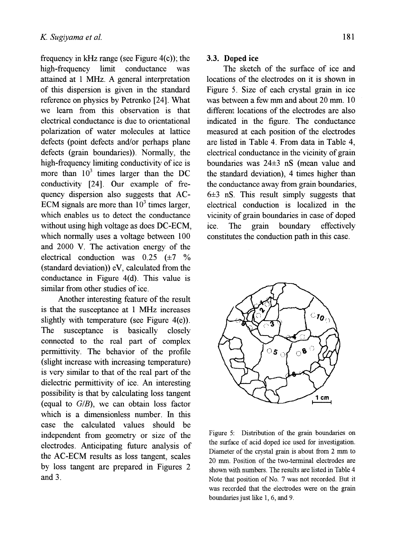frequency in kHz range (see Figure  $4(c)$ ); the high-frequency limit conductance was attained at 1 MHz. A general interpretation of this dispersion is given in the standard reference on physics by Petrenko [24]. What we learn from this observation is that electrical conductance is due to orientational polarization of water molecules at lattice defects (point defects and/or perhaps plane defects (grain boundaries)). Normally, the high-frequency limiting conductivity of ice is more than  $10^3$  times larger than the DC conductivity [24]. Our example of frequency dispersion also suggests that AC-ECM signals are more than  $10<sup>3</sup>$  times larger, which enables us to detect the conductance without using high voltage as does DC-ECM, which normally uses a voltage between 100 and 2000 V. The activation energy of the electrical conduction was  $0.25$  ( $\pm 7$  %)  $(standard deviation)$ ) eV, calculated from the conductance in Figure 4(d). This value is similar from other studies of ice.

Another interesting feature of the result is that the susceptance at 1 MHz increases slightly with temperature (see Figure  $4(e)$ ). The susceptance is basically closely connected to the real part of complex permittivity. The behavior of the profile (slight increase with increasing temperature) is very similar to that of the real part of the dielectric permittivity of ice. An interesting possibility is that by calculating loss tangent (equal to  $G/B$ ), we can obtain loss factor which is a dimensionless number. In this case the calculated values should be independent from geometry or size of the electrodes. Anticipating future analysis of the AC-ECM results as loss tangent, scales by loss tangent are prepared in Figures 2 and 3.

### 3.3. Doped ice

The sketch of the surface of ice and locations of the electrodes on it is shown in Figure 5. Size of each crystal grain in ice was between a few mm and about 20 mm. 10 different locations of the electrodes are also indicated in the figure. The conductance measured at each position of the electrodes are listed in Table 4. From data in Table 4, electrical conductance in the vicinity of grain boundaries was 24±3 nS (mean value and the standard deviation), 4 times higher than the conductance away from grain boundaries, 6±3 nS. This result simply suggests that electrical conduction is localized in the vicinity of grain boundaries in case of doped ice. The grain boundary effectively constitutes the conduction path in this case.



Figure 5: Distribution of the grain boundaries on the surface of acid doped ice used for investigation. Diameter of the crystal grain is about from 2 mm to 20 mm. Position of the two-terminal electrodes are shown with numbers. The results are listed in Table 4 Note that position of No. 7 was not recorded. But it was recorded that the electrodes were on the grain boundaries just like 1,6, and 9.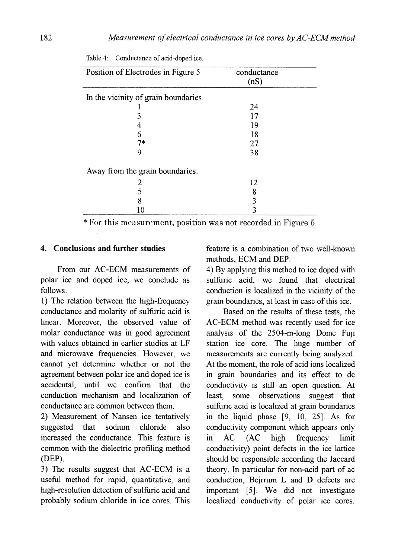| Position of Electrodes in Figure 5   | conductance |  |
|--------------------------------------|-------------|--|
|                                      | (nS)        |  |
| In the vicinity of grain boundaries. |             |  |
|                                      | 24          |  |
|                                      | 17          |  |
|                                      | 19          |  |
| 6                                    | 18          |  |
| $7*$                                 | 27          |  |
|                                      | 38          |  |
| Away from the grain boundaries.      |             |  |
|                                      | 12          |  |
|                                      | 8           |  |
| 8                                    |             |  |
| 10                                   |             |  |

Table 4: Conductance of acid-doped ice.

\* For this measurement, position was not recorded in Figure 5.

### 4. Conclusions and further studies

From our AC-ECM measurements of polar ice and doped ice, we conclude as follows.

1) The relation between the high-frequency conductance and molarity of sulfuric acid is linear. Moreover, the observed value of molar conductance was in good agreement with values obtained in earlier studies at LF and microwave frequencies. However, we cannot yet determine whether or not the agreement between polar ice and doped ice is accidental, until we confirm that the conduction mechanism and localization of conductance are common between them.

2) Measurement of Nansen ice tentatively suggested that sodium chloride also increased the conductance. This feature is common with the dielectric profiling method (DEP).

3) The results suggest that AC-ECM is a useful method for rapid, quantitative, and high-resolution detection of sulfuric acid and probably sodium chloride in ice cores. This feature is a combination of two well-known methods, ECM and DEP.

4) By applying this method to ice doped with sulfuric acid, we found that electrical conduction is localized in the vicinity of the grain boundaries, at least in case of this ice.

Based on the results of these tests, the AC-ECM method was recently used for ice analysis of the 2504-m-Iong Dome Fuji station ice core. The huge number of measurements are currently being analyzed. At the moment, the role of acid ions localized in grain boundaries and its effect to dc conductivity is still an open question. At least, some observations suggest that sulfuric acid is localized at grain boundaries in the liquid phase [9, 10, 25]. As for conductivity component which appears only in AC (AC high frequency limit conductivity) point defects in the ice lattice should be responsible according the Jaccard theory. In particular for non-acid part of ac conduction, Bejrrum L and D defects are important [5]. We did not investigate localized conductivity of polar ice cores.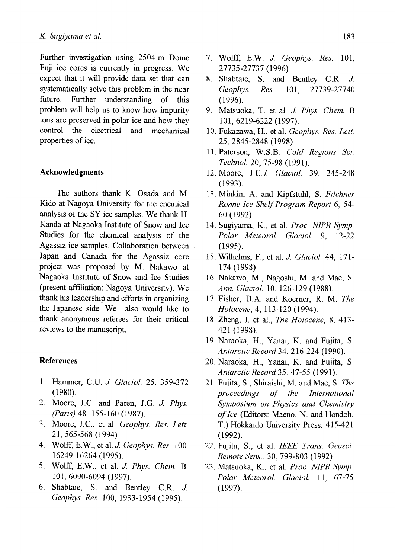Further investigation using 2504-m Dome Fuji ice cores is currently in progress. We expect that it will provide data set that can systematically solve this problem in the near future. Further understanding of this problem will help us to know how impurity ions are preserved in polar ice and how they control the electrical and mechanical properties of ice.

#### **Acknowledgments**

The authors thank K. Osada and M. Kido at Nagoya University for the chemical analysis of the SY ice samples. We thank H. Kanda at Nagaoka Institute of Snow and Ice Studies for the chemical analysis of the Agassiz ice samples. Collaboration between Japan and Canada for the Agassiz core project was proposed by M. Nakawo at Nagaoka Institute of Snow and Ice Studies (present affiliation: Nagoya University). We thank his leadership and efforts in organizing the Japanese side. We also would like to thank anonymous referees for their critical reviews to the manuscript.

### **References**

- 1. Hammer, C.U. *J. Glaciol.* 25, 359-372 (1980).
- 2. Moore, J.C. and Paren, J.G. J. Phys. *(Paris)* 48, 155-160 (1987).
- 3. Moore, J.C., et al. *Geophys. Res. Lett.* 21,565-568 (1994).
- 4. Wolff, E.W., et al. *J. Geophys. Res.* 100, 16249-16264 (1995).
- 5. Wolff, E.W., et aL *J Phys. Chem.* B. 101,6090-6094 (1997).
- 6. Shabtaie, S. and Bentley C.R. J. *Geophys. Res.* 100, 1933-1954 (1995).
- 7. Wolff, E.W. *J Geophys. Res. 101,*  27735-27737 (1996).
- 8. Shabtaie, S. and Bentley C.R. *J. Geophys. Res.* 101, 27739-27740 (1996).
- 9. Matsuoka, T. et al. J. Phys. Chem. B 101,6219-6222 (1997).
- 10. Fukazawa, H., et aL *Geophys. Res. Lett.*  25,2845-2848 (1998).
- 11. Paterson, W.S.B. *Cold Regions Sci. Techno!.* 20, 75-98 (1991).
- 12. Moore, J.C] *Glacio!.* 39, 245-248 (1993).
- 13. Minkin, A. and Kipfstuhl, S. *Filchner Ronne Ice Shelf Program Report* 6, 54- 60 (1992).
- 14. Sugiyama, K, et aL *Proc. NIPR Symp. Polar Meteoro!' Glacio!.* 9, 12-22 (1995).
- 15. Wilhelms, F., et al. *J Glacio!.* 44, 171- 174 (1998).
- 16. Nakawo, M., Nagoshi, M. and Mae, S. *Ann. Glaciol.* 10, 126-129 (1988).
- 17. Fisher, D.A. and Koerner, R. M. *The Holocene,* 4, 113-120 (1994).
- 18. Zheng, 1. et aI., *The Holocene,* 8, 413- 421 (1998).
- 19. Naraoka, H., Yanai, K and Fujita, S. *Antarctic Record* 34,216-224 (1990).
- 20. Naraoka, H., Yanai, K. and Fujita, S. *Antarctic Record* 35,47-55 (1991).
- 21. Fujita, S., Shiraishi, M. and Mae, S. *The proceedings of the International Symposium on Physics and Chemistry of Ice* (Editors: Maeno, N. and Hondoh, T.) Hokkaido University Press, 415-421 (1992).
- 22. Fujita, S., et aL *IEEE Trans. Geosci. Remote Sens ..* 30, 799-803 (1992)
- 23. Matsuoka, K, et aL *Proc. NIPR Symp. Polar Meteorol. Glaciol.* 11, 67-75 (1997).